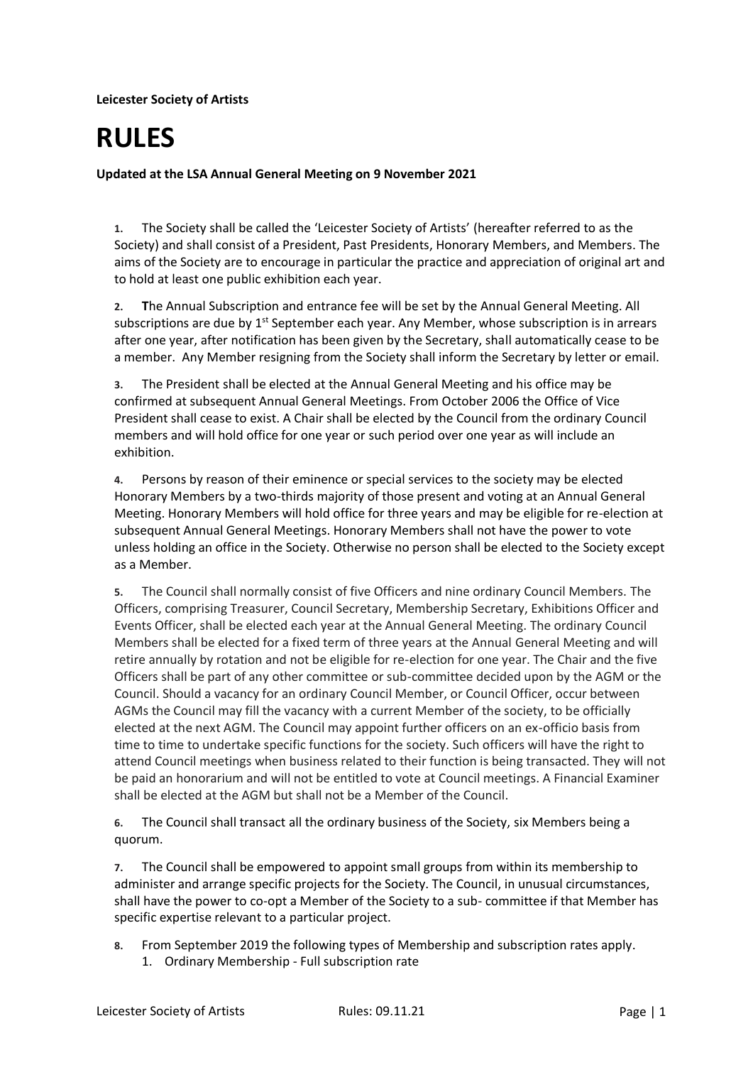**Leicester Society of Artists**

## **RULES**

**Updated at the LSA Annual General Meeting on 9 November 2021**

**1.** The Society shall be called the 'Leicester Society of Artists' (hereafter referred to as the Society) and shall consist of a President, Past Presidents, Honorary Members, and Members. The aims of the Society are to encourage in particular the practice and appreciation of original art and to hold at least one public exhibition each year.

**2. T**he Annual Subscription and entrance fee will be set by the Annual General Meeting. All subscriptions are due by 1<sup>st</sup> September each year. Any Member, whose subscription is in arrears after one year, after notification has been given by the Secretary, shall automatically cease to be a member. Any Member resigning from the Society shall inform the Secretary by letter or email.

**3.** The President shall be elected at the Annual General Meeting and his office may be confirmed at subsequent Annual General Meetings. From October 2006 the Office of Vice President shall cease to exist. A Chair shall be elected by the Council from the ordinary Council members and will hold office for one year or such period over one year as will include an exhibition.

**4.** Persons by reason of their eminence or special services to the society may be elected Honorary Members by a two-thirds majority of those present and voting at an Annual General Meeting. Honorary Members will hold office for three years and may be eligible for re-election at subsequent Annual General Meetings. Honorary Members shall not have the power to vote unless holding an office in the Society. Otherwise no person shall be elected to the Society except as a Member.

**5.** The Council shall normally consist of five Officers and nine ordinary Council Members. The Officers, comprising Treasurer, Council Secretary, Membership Secretary, Exhibitions Officer and Events Officer, shall be elected each year at the Annual General Meeting. The ordinary Council Members shall be elected for a fixed term of three years at the Annual General Meeting and will retire annually by rotation and not be eligible for re-election for one year. The Chair and the five Officers shall be part of any other committee or sub-committee decided upon by the AGM or the Council. Should a vacancy for an ordinary Council Member, or Council Officer, occur between AGMs the Council may fill the vacancy with a current Member of the society, to be officially elected at the next AGM. The Council may appoint further officers on an ex-officio basis from time to time to undertake specific functions for the society. Such officers will have the right to attend Council meetings when business related to their function is being transacted. They will not be paid an honorarium and will not be entitled to vote at Council meetings. A Financial Examiner shall be elected at the AGM but shall not be a Member of the Council.

**6.** The Council shall transact all the ordinary business of the Society, six Members being a quorum.

**7.** The Council shall be empowered to appoint small groups from within its membership to administer and arrange specific projects for the Society. The Council, in unusual circumstances, shall have the power to co-opt a Member of the Society to a sub- committee if that Member has specific expertise relevant to a particular project.

**8.** From September 2019 the following types of Membership and subscription rates apply. 1. Ordinary Membership - Full subscription rate